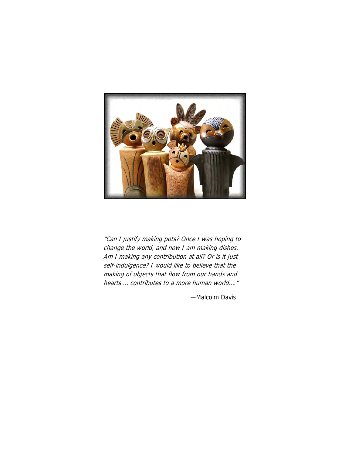

"Can I justify making pots? Once I was hoping to change the world, and now I am making dishes. Am I making any contribution at all? Or is it just self-indulgence? I would like to believe that the making of objects that flow from our hands and hearts … contributes to a more human world…."

—Malcolm Davis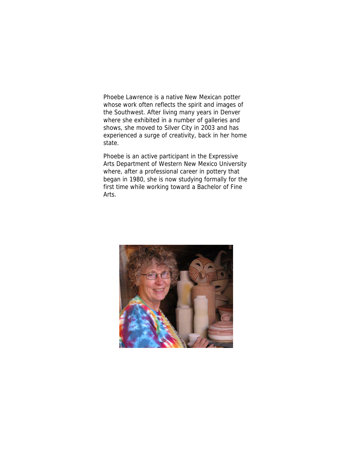Phoebe Lawrence is a native New Mexican potter whose work often reflects the spirit and images of the Southwest. After living many years in Denver where she exhibited in a number of galleries and shows, she moved to Silver City in 2003 and has experienced a surge of creativity, back in her home state.

Phoebe is an active participant in the Expressive Arts Department of Western New Mexico University where, after a professional career in pottery that began in 1980, she is now studying formally for the first time while working toward a Bachelor of Fine Arts.

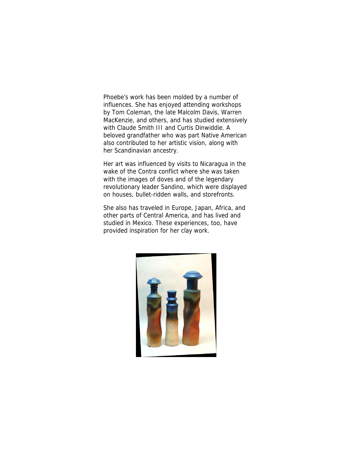Phoebe's work has been molded by a number of influences. She has enjoyed attending workshops by Tom Coleman, the late Malcolm Davis, Warren MacKenzie, and others, and has studied extensively with Claude Smith III and Curtis Dinwiddie. A beloved grandfather who was part Native American also contributed to her artistic vision, along with her Scandinavian ancestry.

Her art was influenced by visits to Nicaragua in the wake of the Contra conflict where she was taken with the images of doves and of the legendary revolutionary leader Sandino, which were displayed on houses, bullet-ridden walls, and storefronts.

She also has traveled in Europe, Japan, Africa, and other parts of Central America, and has lived and studied in Mexico. These experiences, too, have provided inspiration for her clay work.

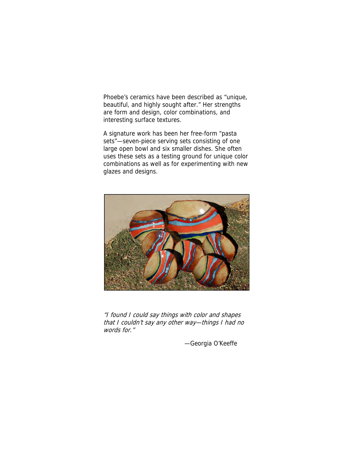Phoebe's ceramics have been described as "unique, beautiful, and highly sought after." Her strengths are form and design, color combinations, and interesting surface textures.

A signature work has been her free-form "pasta sets"—seven-piece serving sets consisting of one large open bowl and six smaller dishes. She often uses these sets as a testing ground for unique color combinations as well as for experimenting with new glazes and designs.



"I found I could say things with color and shapes that I couldn't say any other way—things I had no words for."

—Georgia O'Keeffe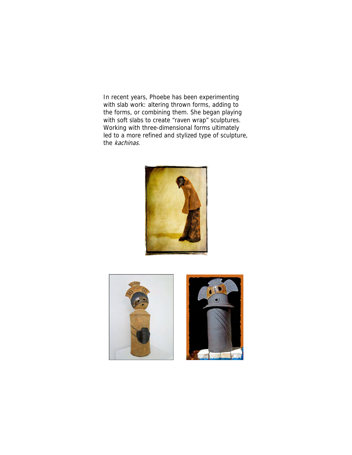In recent years, Phoebe has been experimenting with slab work: altering thrown forms, adding to the forms, or combining them. She began playing with soft slabs to create "raven wrap" sculptures. Working with three-dimensional forms ultimately led to a more refined and stylized type of sculpture, the kachinas.





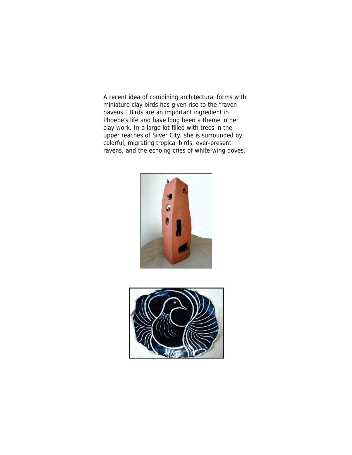A recent idea of combining architectural forms with miniature clay birds has given rise to the "raven havens." Birds are an important ingredient in Phoebe's life and have long been a theme in her clay work. In a large lot filled with trees in the upper reaches of Silver City, she is surrounded by colorful, migrating tropical birds, ever-present ravens, and the echoing cries of white-wing doves.



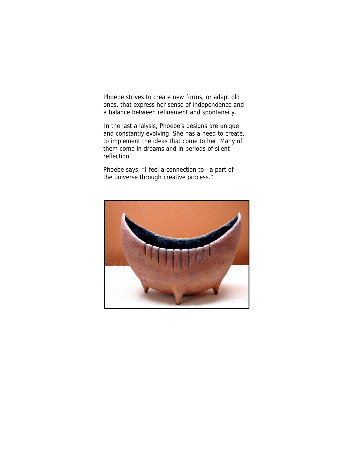Phoebe strives to create new forms, or adapt old ones, that express her sense of independence and a balance between refinement and spontaneity.

In the last analysis, Phoebe's designs are unique and constantly evolving. She has a need to create, to implement the ideas that come to her. Many of them come in dreams and in periods of silent reflection.

Phoebe says, "I feel a connection to—a part of the universe through creative process."

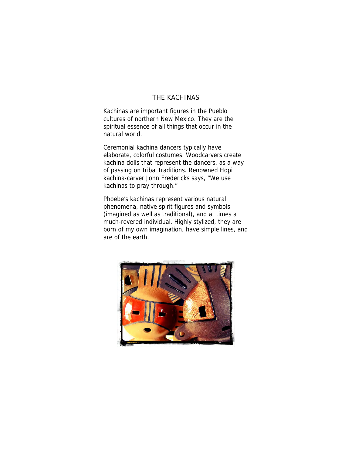## THE KACHINAS

Kachinas are important figures in the Pueblo cultures of northern New Mexico. They are the spiritual essence of all things that occur in the natural world.

Ceremonial kachina dancers typically have elaborate, colorful costumes. Woodcarvers create kachina dolls that represent the dancers, as a way of passing on tribal traditions. Renowned Hopi kachina-carver John Fredericks says, "We use kachinas to pray through."

Phoebe's kachinas represent various natural phenomena, native spirit figures and symbols (imagined as well as traditional), and at times a much-revered individual. Highly stylized, they are born of my own imagination, have simple lines, and are of the earth.

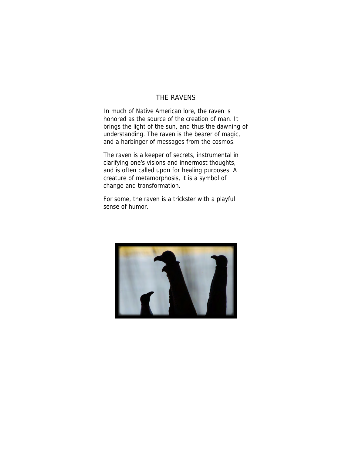## THE RAVENS

In much of Native American lore, the raven is honored as the source of the creation of man. It brings the light of the sun, and thus the dawning of understanding. The raven is the bearer of magic, and a harbinger of messages from the cosmos.

The raven is a keeper of secrets, instrumental in clarifying one's visions and innermost thoughts, and is often called upon for healing purposes. A creature of metamorphosis, it is a symbol of change and transformation.

For some, the raven is a trickster with a playful sense of humor.

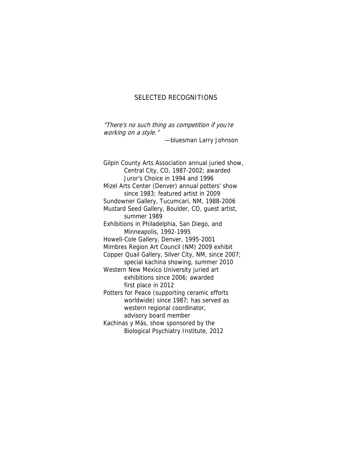## SELECTED RECOGNITIONS

"There's no such thing as competition if you're working on a style."

—bluesman Larry Johnson

Gilpin County Arts Association annual juried show, Central City, CO, 1987-2002; awarded Juror's Choice in 1994 and 1996 Mizel Arts Center (Denver) annual potters' show since 1983; featured artist in 2009 Sundowner Gallery, Tucumcari, NM, 1988-2006 Mustard Seed Gallery, Boulder, CO, guest artist, summer 1989 Exhibitions in Philadelphia, San Diego, and Minneapolis, 1992-1995 Howell-Cole Gallery, Denver, 1995-2001 Mimbres Region Art Council (NM) 2009 exhibit Copper Quail Gallery, Silver City, NM, since 2007; special kachina showing, summer 2010 Western New Mexico University juried art exhibitions since 2006; awarded first place in 2012 Potters for Peace (supporting ceramic efforts worldwide) since 1987; has served as western regional coordinator, advisory board member Kachinas y Más, show sponsored by the Biological Psychiatry Institute, 2012